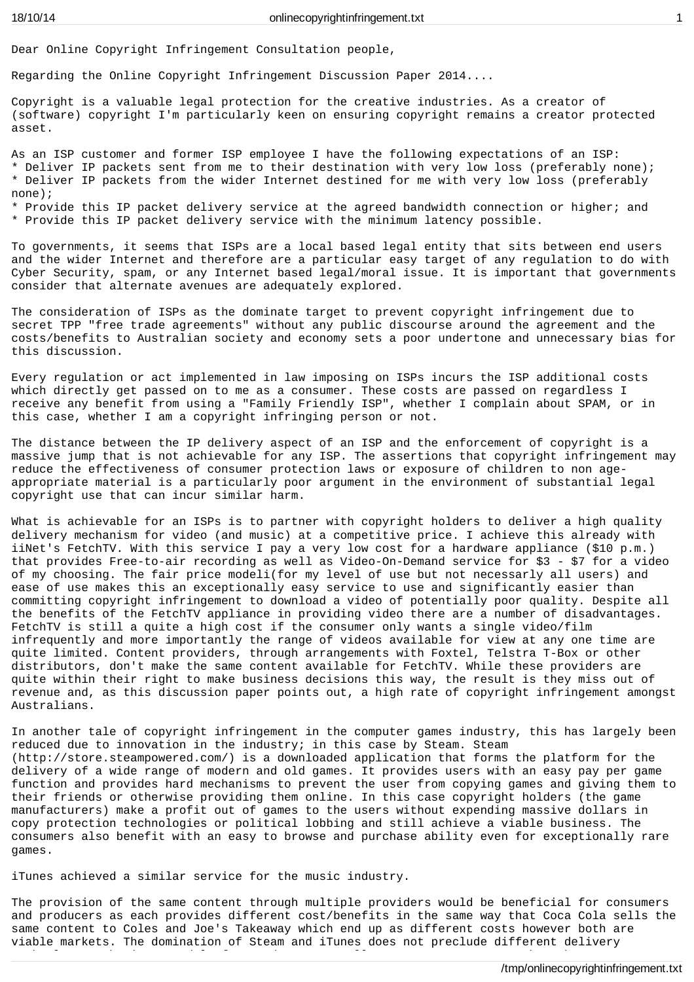Dear Online Copyright Infringement Consultation people,

Regarding the Online Copyright Infringement Discussion Paper 2014....

Copyright is a valuable legal protection for the creative industries. As a creator of (software) copyright I'm particularly keen on ensuring copyright remains a creator protected asset.

As an ISP customer and former ISP employee I have the following expectations of an ISP: \* Deliver IP packets sent from me to their destination with very low loss (preferably none); \* Deliver IP packets from the wider Internet destined for me with very low loss (preferably none); \* Provide this IP packet delivery service at the agreed bandwidth connection or higher; and \* Provide this IP packet delivery service with the minimum latency possible.

To governments, it seems that ISPs are a local based legal entity that sits between end users and the wider Internet and therefore are a particular easy target of any regulation to do with Cyber Security, spam, or any Internet based legal/moral issue. It is important that governments consider that alternate avenues are adequately explored.

The consideration of ISPs as the dominate target to prevent copyright infringement due to secret TPP "free trade agreements" without any public discourse around the agreement and the costs/benefits to Australian society and economy sets a poor undertone and unnecessary bias for this discussion.

Every regulation or act implemented in law imposing on ISPs incurs the ISP additional costs which directly get passed on to me as a consumer. These costs are passed on regardless I receive any benefit from using a "Family Friendly ISP", whether I complain about SPAM, or in this case, whether I am a copyright infringing person or not.

The distance between the IP delivery aspect of an ISP and the enforcement of copyright is a massive jump that is not achievable for any ISP. The assertions that copyright infringement may reduce the effectiveness of consumer protection laws or exposure of children to non ageappropriate material is a particularly poor argument in the environment of substantial legal copyright use that can incur similar harm.

What is achievable for an ISPs is to partner with copyright holders to deliver a high quality delivery mechanism for video (and music) at a competitive price. I achieve this already with iiNet's FetchTV. With this service I pay a very low cost for a hardware appliance (\$10 p.m.) that provides Free-to-air recording as well as Video-On-Demand service for \$3 - \$7 for a video of my choosing. The fair price modeli(for my level of use but not necessarly all users) and ease of use makes this an exceptionally easy service to use and significantly easier than committing copyright infringement to download a video of potentially poor quality. Despite all the benefits of the FetchTV appliance in providing video there are a number of disadvantages. FetchTV is still a quite a high cost if the consumer only wants a single video/film infrequently and more importantly the range of videos available for view at any one time are quite limited. Content providers, through arrangements with Foxtel, Telstra T-Box or other distributors, don't make the same content available for FetchTV. While these providers are quite within their right to make business decisions this way, the result is they miss out of revenue and, as this discussion paper points out, a high rate of copyright infringement amongst Australians.

In another tale of copyright infringement in the computer games industry, this has largely been reduced due to innovation in the industry; in this case by Steam. Steam (http://store.steampowered.com/) is a downloaded application that forms the platform for the delivery of a wide range of modern and old games. It provides users with an easy pay per game function and provides hard mechanisms to prevent the user from copying games and giving them to their friends or otherwise providing them online. In this case copyright holders (the game manufacturers) make a profit out of games to the users without expending massive dollars in copy protection technologies or political lobbing and still achieve a viable business. The consumers also benefit with an easy to browse and purchase ability even for exceptionally rare games.

iTunes achieved a similar service for the music industry.

The provision of the same content through multiple providers would be beneficial for consumers and producers as each provides different cost/benefits in the same way that Coca Cola sells the same content to Coles and Joe's Takeaway which end up as different costs however both are viable markets. The domination of Steam and iTunes does not preclude different delivery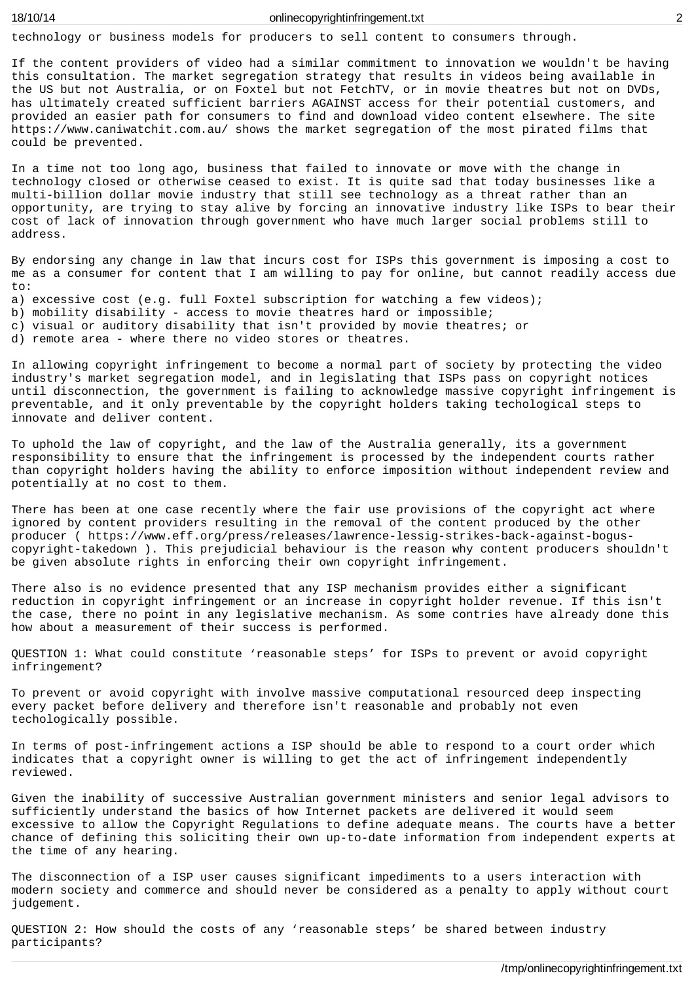technology or business models for producers to sell content to consumers through.

If the content providers of video had a similar commitment to innovation we wouldn't be having this consultation. The market segregation strategy that results in videos being available in the US but not Australia, or on Foxtel but not FetchTV, or in movie theatres but not on DVDs, has ultimately created sufficient barriers AGAINST access for their potential customers, and provided an easier path for consumers to find and download video content elsewhere. The site https://www.caniwatchit.com.au/ shows the market segregation of the most pirated films that could be prevented.

In a time not too long ago, business that failed to innovate or move with the change in technology closed or otherwise ceased to exist. It is quite sad that today businesses like a multi-billion dollar movie industry that still see technology as a threat rather than an opportunity, are trying to stay alive by forcing an innovative industry like ISPs to bear their cost of lack of innovation through government who have much larger social problems still to address.

By endorsing any change in law that incurs cost for ISPs this government is imposing a cost to me as a consumer for content that I am willing to pay for online, but cannot readily access due to:

- a) excessive cost (e.g. full Foxtel subscription for watching a few videos);
- b) mobility disability access to movie theatres hard or impossible;
- c) visual or auditory disability that isn't provided by movie theatres; or

d) remote area - where there no video stores or theatres.

In allowing copyright infringement to become a normal part of society by protecting the video industry's market segregation model, and in legislating that ISPs pass on copyright notices until disconnection, the government is failing to acknowledge massive copyright infringement is preventable, and it only preventable by the copyright holders taking techological steps to innovate and deliver content.

To uphold the law of copyright, and the law of the Australia generally, its a government responsibility to ensure that the infringement is processed by the independent courts rather than copyright holders having the ability to enforce imposition without independent review and potentially at no cost to them.

There has been at one case recently where the fair use provisions of the copyright act where ignored by content providers resulting in the removal of the content produced by the other producer ( https://www.eff.org/press/releases/lawrence-lessig-strikes-back-against-boguscopyright-takedown ). This prejudicial behaviour is the reason why content producers shouldn't be given absolute rights in enforcing their own copyright infringement.

There also is no evidence presented that any ISP mechanism provides either a significant reduction in copyright infringement or an increase in copyright holder revenue. If this isn't the case, there no point in any legislative mechanism. As some contries have already done this how about a measurement of their success is performed.

QUESTION 1: What could constitute 'reasonable steps' for ISPs to prevent or avoid copyright infringement?

To prevent or avoid copyright with involve massive computational resourced deep inspecting every packet before delivery and therefore isn't reasonable and probably not even techologically possible.

In terms of post-infringement actions a ISP should be able to respond to a court order which indicates that a copyright owner is willing to get the act of infringement independently reviewed.

Given the inability of successive Australian government ministers and senior legal advisors to sufficiently understand the basics of how Internet packets are delivered it would seem excessive to allow the Copyright Regulations to define adequate means. The courts have a better chance of defining this soliciting their own up-to-date information from independent experts at the time of any hearing.

The disconnection of a ISP user causes significant impediments to a users interaction with modern society and commerce and should never be considered as a penalty to apply without court judgement.

QUESTION 2: How should the costs of any 'reasonable steps' be shared between industry participants?

/tmp/onlinecopyrightinfringement.txt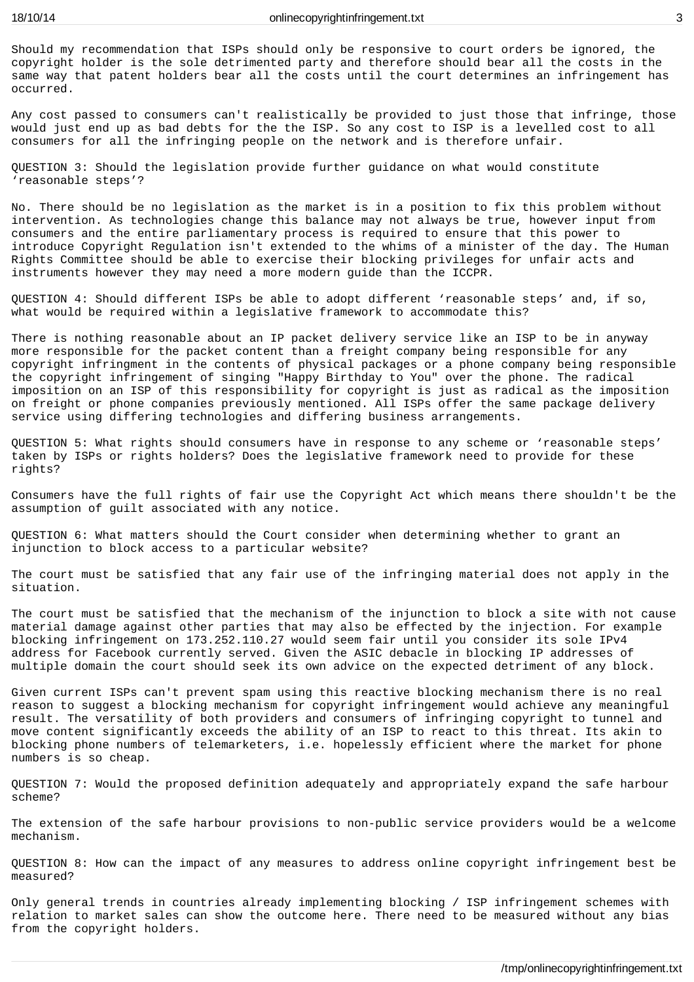Should my recommendation that ISPs should only be responsive to court orders be ignored, the copyright holder is the sole detrimented party and therefore should bear all the costs in the same way that patent holders bear all the costs until the court determines an infringement has occurred.

Any cost passed to consumers can't realistically be provided to just those that infringe, those would just end up as bad debts for the the ISP. So any cost to ISP is a levelled cost to all consumers for all the infringing people on the network and is therefore unfair.

QUESTION 3: Should the legislation provide further guidance on what would constitute 'reasonable steps'?

No. There should be no legislation as the market is in a position to fix this problem without intervention. As technologies change this balance may not always be true, however input from consumers and the entire parliamentary process is required to ensure that this power to introduce Copyright Regulation isn't extended to the whims of a minister of the day. The Human Rights Committee should be able to exercise their blocking privileges for unfair acts and instruments however they may need a more modern guide than the ICCPR.

QUESTION 4: Should different ISPs be able to adopt different 'reasonable steps' and, if so, what would be required within a legislative framework to accommodate this?

There is nothing reasonable about an IP packet delivery service like an ISP to be in anyway more responsible for the packet content than a freight company being responsible for any copyright infringment in the contents of physical packages or a phone company being responsible the copyright infringement of singing "Happy Birthday to You" over the phone. The radical imposition on an ISP of this responsibility for copyright is just as radical as the imposition on freight or phone companies previously mentioned. All ISPs offer the same package delivery service using differing technologies and differing business arrangements.

QUESTION 5: What rights should consumers have in response to any scheme or 'reasonable steps' taken by ISPs or rights holders? Does the legislative framework need to provide for these rights?

Consumers have the full rights of fair use the Copyright Act which means there shouldn't be the assumption of guilt associated with any notice.

QUESTION 6: What matters should the Court consider when determining whether to grant an injunction to block access to a particular website?

The court must be satisfied that any fair use of the infringing material does not apply in the situation.

The court must be satisfied that the mechanism of the injunction to block a site with not cause material damage against other parties that may also be effected by the injection. For example blocking infringement on 173.252.110.27 would seem fair until you consider its sole IPv4 address for Facebook currently served. Given the ASIC debacle in blocking IP addresses of multiple domain the court should seek its own advice on the expected detriment of any block.

Given current ISPs can't prevent spam using this reactive blocking mechanism there is no real reason to suggest a blocking mechanism for copyright infringement would achieve any meaningful result. The versatility of both providers and consumers of infringing copyright to tunnel and move content significantly exceeds the ability of an ISP to react to this threat. Its akin to blocking phone numbers of telemarketers, i.e. hopelessly efficient where the market for phone numbers is so cheap.

QUESTION 7: Would the proposed definition adequately and appropriately expand the safe harbour scheme?

The extension of the safe harbour provisions to non-public service providers would be a welcome mechanism.

QUESTION 8: How can the impact of any measures to address online copyright infringement best be measured?

Only general trends in countries already implementing blocking / ISP infringement schemes with relation to market sales can show the outcome here. There need to be measured without any bias from the copyright holders.